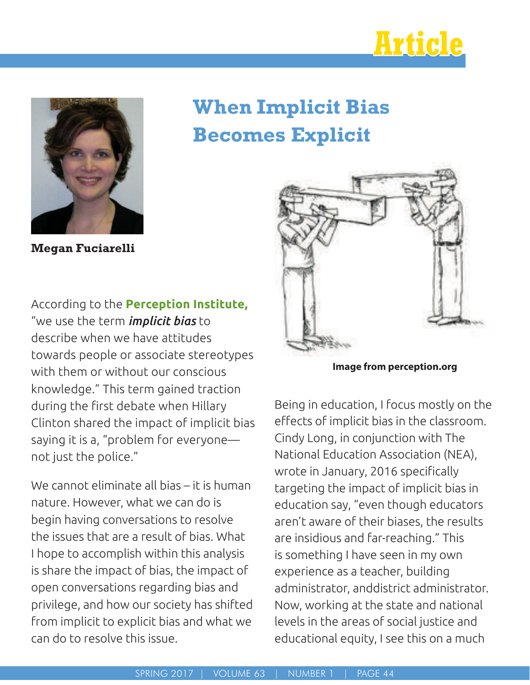



# **When Implicit Bias Becomes Explicit**

**Megan Fuciarelli**

According to the **Perception Institute,** "we use the term *implicit bias* to describe when we have attitudes towards people or associate stereotypes with them or without our conscious knowledge." This term gained traction during the first debate when Hillary Clinton shared the impact of implicit bias saying it is a, "problem for everyone not just the police."

We cannot eliminate all bias – it is human nature. However, what we can do is begin having conversations to resolve the issues that are a result of bias. What I hope to accomplish within this analysis is share the impact of bias, the impact of open conversations regarding bias and privilege, and how our society has shifted from implicit to explicit bias and what we can do to resolve this issue.



**Image from perception.org**

Being in education, I focus mostly on the effects of implicit bias in the classroom. Cindy Long, in conjunction with The National Education Association (NEA), wrote in January, 2016 specifically targeting the impact of implicit bias in education say, "even though educators aren't aware of their biases, the results are insidious and far-reaching." This is something I have seen in my own experience as a teacher, building administrator, anddistrict administrator. Now, working at the state and national levels in the areas of social justice and educational equity, I see this on a much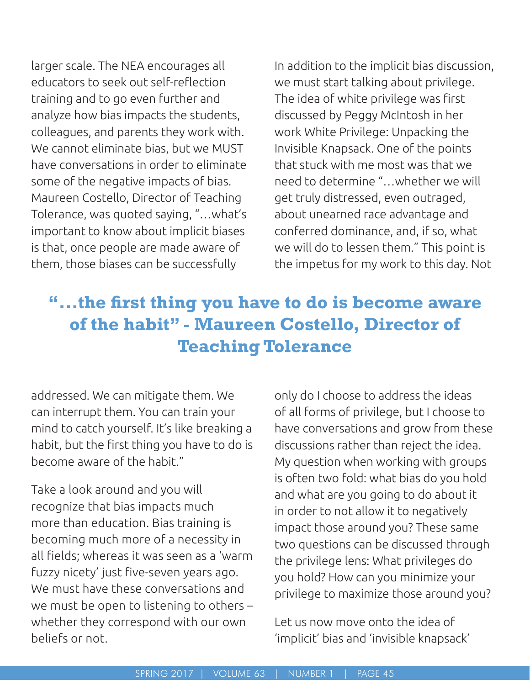larger scale. The NEA encourages all educators to seek out self-reflection training and to go even further and analyze how bias impacts the students, colleagues, and parents they work with. We cannot eliminate bias, but we MUST have conversations in order to eliminate some of the negative impacts of bias. Maureen Costello, Director of Teaching Tolerance, was quoted saying, "…what's important to know about implicit biases is that, once people are made aware of them, those biases can be successfully

In addition to the implicit bias discussion, we must start talking about privilege. The idea of white privilege was first discussed by Peggy McIntosh in her work White Privilege: Unpacking the Invisible Knapsack. One of the points that stuck with me most was that we need to determine "…whether we will get truly distressed, even outraged, about unearned race advantage and conferred dominance, and, if so, what we will do to lessen them." This point is the impetus for my work to this day. Not

## **"...the first thing you have to do is become aware of the habit" - Maureen Costello, Director of Teaching Tolerance**

addressed. We can mitigate them. We can interrupt them. You can train your mind to catch yourself. It's like breaking a habit, but the frst thing you have to do is become aware of the habit."

Take a look around and you will recognize that bias impacts much more than education. Bias training is becoming much more of a necessity in all fields; whereas it was seen as a 'warm fuzzy nicety' just five-seven years ago. We must have these conversations and we must be open to listening to others – whether they correspond with our own beliefs or not.

only do I choose to address the ideas of all forms of privilege, but I choose to have conversations and grow from these discussions rather than reject the idea. My question when working with groups is often two fold: what bias do you hold and what are you going to do about it in order to not allow it to negatively impact those around you? These same two questions can be discussed through the privilege lens: What privileges do you hold? How can you minimize your privilege to maximize those around you?

Let us now move onto the idea of 'implicit' bias and 'invisible knapsack'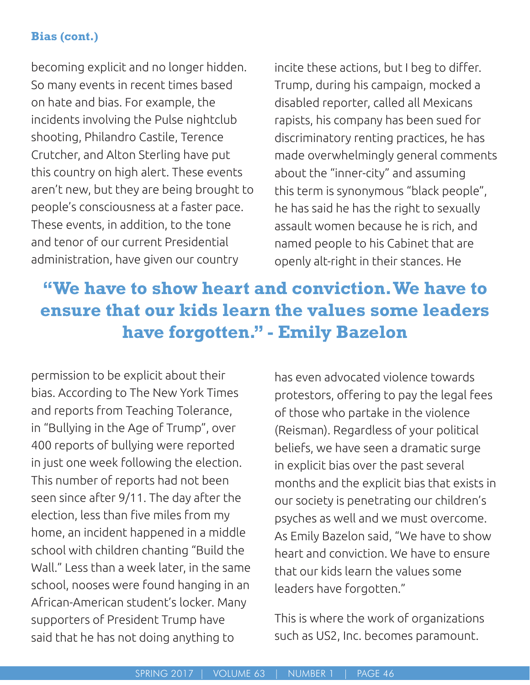## **Bias (cont.)**

becoming explicit and no longer hidden. So many events in recent times based on hate and bias. For example, the incidents involving the Pulse nightclub shooting, Philandro Castile, Terence Crutcher, and Alton Sterling have put this country on high alert. These events aren't new, but they are being brought to people's consciousness at a faster pace. These events, in addition, to the tone and tenor of our current Presidential administration, have given our country

incite these actions, but I beg to differ. Trump, during his campaign, mocked a disabled reporter, called all Mexicans rapists, his company has been sued for discriminatory renting practices, he has made overwhelmingly general comments about the "inner-city" and assuming this term is synonymous "black people", he has said he has the right to sexually assault women because he is rich, and named people to his Cabinet that are openly alt-right in their stances. He

## **"We have to show heart and conviction. We have to ensure that our kids learn the values some leaders have forgotten." - Emily Bazelon**

permission to be explicit about their bias. According to The New York Times and reports from Teaching Tolerance, in "Bullying in the Age of Trump", over 400 reports of bullying were reported in just one week following the election. This number of reports had not been seen since after 9/11. The day after the election, less than five miles from my home, an incident happened in a middle school with children chanting "Build the Wall." Less than a week later, in the same school, nooses were found hanging in an African-American student's locker. Many supporters of President Trump have said that he has not doing anything to

has even advocated violence towards protestors, offering to pay the legal fees of those who partake in the violence (Reisman). Regardless of your political beliefs, we have seen a dramatic surge in explicit bias over the past several months and the explicit bias that exists in our society is penetrating our children's psyches as well and we must overcome. As Emily Bazelon said, "We have to show heart and conviction. We have to ensure that our kids learn the values some leaders have forgotten."

This is where the work of organizations such as US2, Inc. becomes paramount.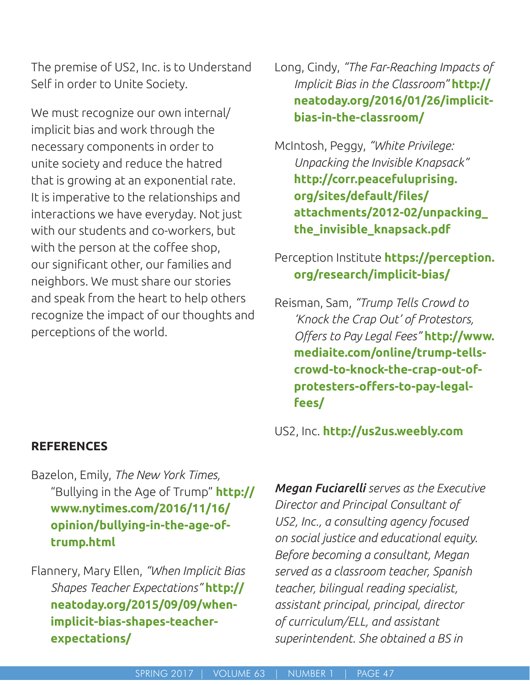The premise of US2, Inc. is to Understand Self in order to Unite Society.

We must recognize our own internal/ implicit bias and work through the necessary components in order to unite society and reduce the hatred that is growing at an exponential rate. It is imperative to the relationships and interactions we have everyday. Not just with our students and co-workers, but with the person at the coffee shop, our signifcant other, our families and neighbors. We must share our stories and speak from the heart to help others recognize the impact of our thoughts and perceptions of the world.

### **REFERENCES**

Bazelon, Emily, *The New York Times,* "Bullying in the Age of Trump" **http:// www.nytimes.com/2016/11/16/ opinion/bullying-in-the-age-oftrump.html**

Flannery, Mary Ellen, *"When Implicit Bias Shapes Teacher Expectations"* **http:// neatoday.org/2015/09/09/whenimplicit-bias-shapes-teacherexpectations/**

Long, Cindy, *"The Far-Reaching Impacts of Implicit Bias in the Classroom"* **http:// neatoday.org/2016/01/26/implicitbias-in-the-classroom/**

McIntosh, Peggy, *"White Privilege: Unpacking the Invisible Knapsack"* **http://corr.peacefuluprising. org/sites/default/fles/ attachments/2012-02/unpacking\_ the\_invisible\_knapsack.pdf**

## Perception Institute **https://perception. org/research/implicit-bias/**

Reisman, Sam, *"Trump Tells Crowd to 'Knock the Crap Out' of Protestors, Ofers to Pay Legal Fees"* **http://www. mediaite.com/online/trump-tellscrowd-to-knock-the-crap-out-of**protesters-offers-to-pay-legal**fees/**

US2, Inc. **http://us2us.weebly.com**

*Megan Fuciarelli serves as the Executive Director and Principal Consultant of US2, Inc., a consulting agency focused on social justice and educational equity. Before becoming a consultant, Megan served as a classroom teacher, Spanish teacher, bilingual reading specialist, assistant principal, principal, director of curriculum/ELL, and assistant superintendent. She obtained a BS in*